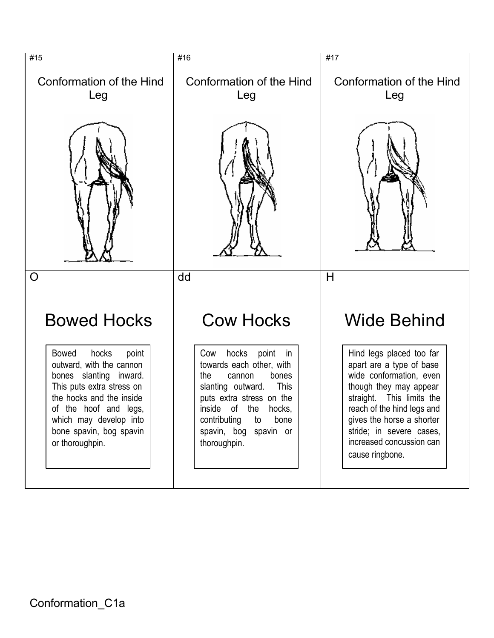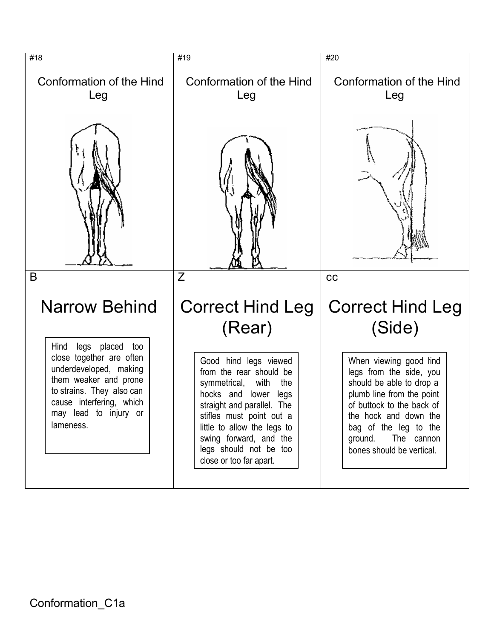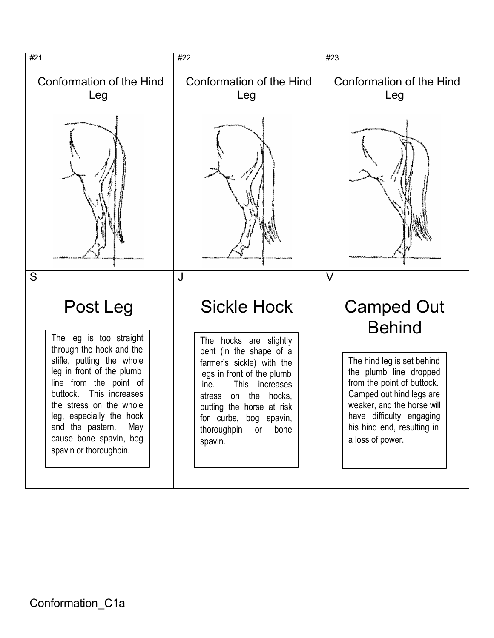